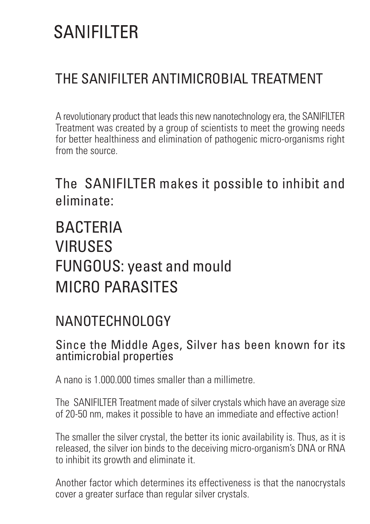# **SANIFIITER**

### THE SANIFILTER ANTIMICROBIAL TREATMENT

A revolutionary product that leads this new nanotechnology era, the SANIFILTER Treatment was created by a group of scientists to meet the growing needs for better healthiness and elimination of pathogenic micro-organisms right from the source.

The SANIFILTER makes it possible to inhibit and eliminate:

## **BACTERIA** VIRUSES FUNGOUS: yeast and mould MICRO PARASITES

### NANOTECHNOLOGY

#### Since the Middle Ages, Silver has been known for its antimicrobial properties

A nano is 1.000.000 times smaller than a millimetre.

The SANIFILTER Treatment made of silver crystals which have an average size of 20-50 nm, makes it possible to have an immediate and effective action!

The smaller the silver crystal, the better its ionic availability is. Thus, as it is released, the silver ion binds to the deceiving micro-organism's DNA or RNA to inhibit its growth and eliminate it.

Another factor which determines its effectiveness is that the nanocrystals cover a greater surface than regular silver crystals.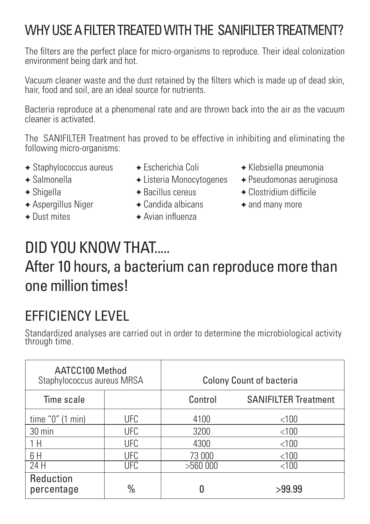### WHY USE A FILTER TREATED WITH THE SANIFILTER TREATMENT?

The filters are the perfect place for micro-organisms to reproduce. Their ideal colonization environment being dark and hot.

Vacuum cleaner waste and the dust retained by the filters which is made up of dead skin, hair, food and soil, are an ideal source for nutrients.

Bacteria reproduce at a phenomenal rate and are thrown back into the air as the vacuum cleaner is activated.

The SANIFILTER Treatment has proved to be effective in inhibiting and eliminating the following micro-organisms:

- ✦ Staphylococcus aureus ✦ Escherichia Coli ✦ Klebsiella pneumonia
	- -
- 
- ✦ Aspergillus Niger ✦ Candida albicans ✦ and many more
- 
- 
- $\rightarrow$  Dust mites  $\rightarrow$  Avian influenza
- 
- ✦ Salmonella ✦ Listeria Monocytogenes ✦ Pseudomonas aeruginosa
- $\rightarrow$  Shigella ← Bacillus cereus ← Clostridium difficile
	-

## DID YOU KNOW THAT.....

### After 10 hours, a bacterium can reproduce more than one million times!

### EFFICIENCY LEVEL

Standardized analyses are carried out in order to determine the microbiological activity through time.

| AATCC100 Method<br>Staphylococcus aureus MRSA |            | <b>Colony Count of bacteria</b> |                             |  |
|-----------------------------------------------|------------|---------------------------------|-----------------------------|--|
| Time scale                                    |            | Control                         | <b>SANIFILTER Treatment</b> |  |
| time $"0"$ (1 min)                            | <b>UFC</b> | 4100                            | $<$ 100                     |  |
| 30 min                                        | <b>UFC</b> | 3200                            | < 100                       |  |
| 1H                                            | <b>UFC</b> | 4300                            | < 100                       |  |
| 6H                                            | <b>UFC</b> | 73 000                          | < 100                       |  |
| 24 H                                          | <b>UFC</b> | >560000                         | $<$ 100                     |  |
| Reduction<br>percentage                       | $\%$       |                                 | >99.99                      |  |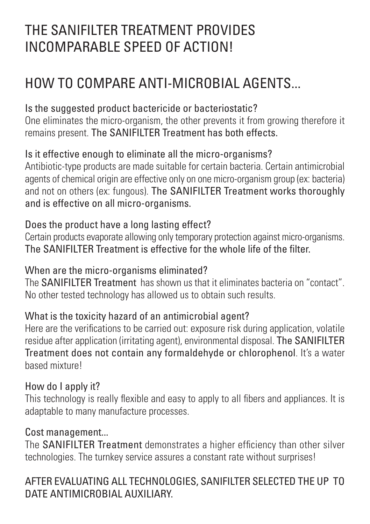### THE SANIFILTER TREATMENT PROVIDES INCOMPARABLE SPEED OF ACTION!

### HOW TO COMPARE ANTI-MICROBIAL AGENTS...

### Is the suggested product bactericide or bacteriostatic?

One eliminates the micro-organism, the other prevents it from growing therefore it remains present. The SANIFILTER Treatment has both effects.

#### Is it effective enough to eliminate all the micro-organisms?

Antibiotic-type products are made suitable for certain bacteria. Certain antimicrobial agents of chemical origin are effective only on one micro-organism group (ex: bacteria) and not on others (ex: fungous). The SANIFILTER Treatment works thoroughly and is effective on all micro-organisms.

#### Does the product have a long lasting effect?

Certain products evaporate allowing only temporary protection against micro-organisms. The SANIFILTER Treatment is effective for the whole life of the filter.

#### When are the micro-organisms eliminated?

The SANIFILTER Treatment has shown us that it eliminates bacteria on "contact". No other tested technology has allowed us to obtain such results.

#### What is the toxicity hazard of an antimicrobial agent?

Here are the verifications to be carried out: exposure risk during application, volatile residue after application (irritating agent), environmental disposal. The SANIFILTER Treatment does not contain any formaldehyde or chlorophenol. It's a water based mixture!

#### How do I apply it?

This technology is really flexible and easy to apply to all fibers and appliances. It is adaptable to many manufacture processes.

#### Cost management...

The **SANIFILTER Treatment** demonstrates a higher efficiency than other silver technologies. The turnkey service assures a constant rate without surprises!

### AFTER EVALUATING ALL TECHNOLOGIES, SANIFILTER SELECTED THE UP TO DATE ANTIMICROBIAL AUXILIARY.